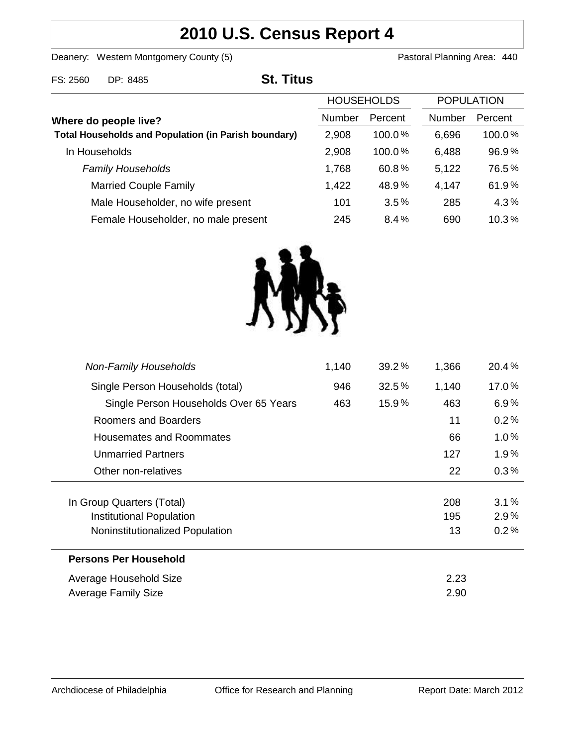# **2010 U.S. Census Report 4**

Deanery: Western Montgomery County (5) Counter States and Deanery: Western Montgomery County (5)

| FS: 2560              | DP: 8485                                                    | <b>St. Titus</b> |                   |         |                   |         |
|-----------------------|-------------------------------------------------------------|------------------|-------------------|---------|-------------------|---------|
|                       |                                                             |                  | <b>HOUSEHOLDS</b> |         | <b>POPULATION</b> |         |
| Where do people live? |                                                             |                  | Number            | Percent | <b>Number</b>     | Percent |
|                       | <b>Total Households and Population (in Parish boundary)</b> |                  | 2,908             | 100.0%  | 6,696             | 100.0%  |
|                       | In Households                                               |                  | 2,908             | 100.0%  | 6,488             | 96.9%   |
|                       | <b>Family Households</b>                                    |                  | 1,768             | 60.8%   | 5,122             | 76.5%   |
|                       | <b>Married Couple Family</b>                                |                  | 1,422             | 48.9%   | 4,147             | 61.9%   |
|                       | Male Householder, no wife present                           |                  | 101               | 3.5%    | 285               | 4.3%    |
|                       | Female Householder, no male present                         |                  | 245               | 8.4%    | 690               | 10.3%   |



| <b>Non-Family Households</b>           | 1,140 | 39.2% | 1,366 | 20.4%   |
|----------------------------------------|-------|-------|-------|---------|
| Single Person Households (total)       | 946   | 32.5% | 1,140 | 17.0%   |
| Single Person Households Over 65 Years | 463   | 15.9% | 463   | 6.9%    |
| Roomers and Boarders                   |       |       | 11    | 0.2%    |
| Housemates and Roommates               |       |       | 66    | 1.0%    |
| <b>Unmarried Partners</b>              |       |       | 127   | 1.9%    |
| Other non-relatives                    |       |       | 22    | $0.3\%$ |
|                                        |       |       |       |         |
| In Group Quarters (Total)              |       |       | 208   | 3.1%    |
| Institutional Population               |       |       | 195   | 2.9%    |
| Noninstitutionalized Population        |       |       | 13    | 0.2%    |
| <b>Persons Per Household</b>           |       |       |       |         |
| Average Household Size                 |       |       | 2.23  |         |
| Average Family Size                    |       |       | 2.90  |         |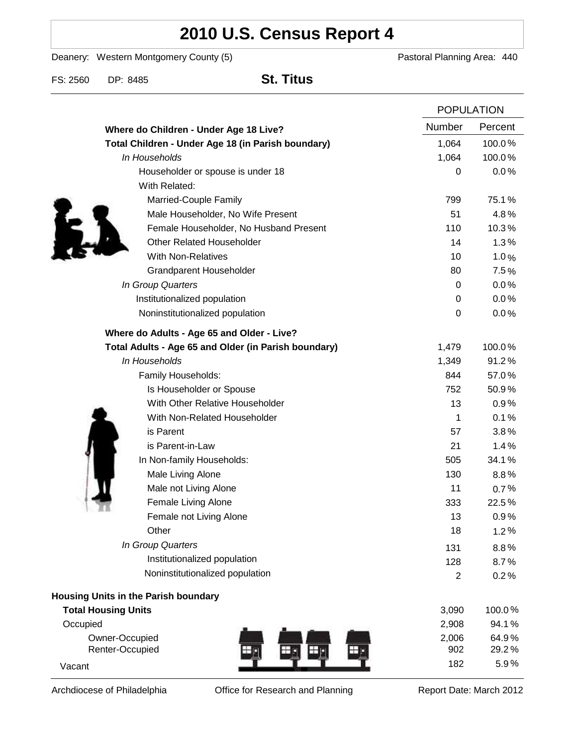# **2010 U.S. Census Report 4**

Deanery: Western Montgomery County (5) Deanery: Western Montgomery County (5)

FS: 2560 DP: 8485 **St. Titus**

|                                                      | <b>POPULATION</b> |         |
|------------------------------------------------------|-------------------|---------|
| Where do Children - Under Age 18 Live?               | Number            | Percent |
| Total Children - Under Age 18 (in Parish boundary)   | 1,064             | 100.0%  |
| In Households                                        | 1,064             | 100.0%  |
| Householder or spouse is under 18                    | 0                 | 0.0%    |
| With Related:                                        |                   |         |
| Married-Couple Family                                | 799               | 75.1%   |
| Male Householder, No Wife Present                    | 51                | 4.8%    |
| Female Householder, No Husband Present               | 110               | 10.3%   |
| <b>Other Related Householder</b>                     | 14                | 1.3%    |
| <b>With Non-Relatives</b>                            | 10                | 1.0%    |
| <b>Grandparent Householder</b>                       | 80                | 7.5%    |
| In Group Quarters                                    | 0                 | 0.0%    |
| Institutionalized population                         | 0                 | 0.0%    |
| Noninstitutionalized population                      | 0                 | 0.0%    |
| Where do Adults - Age 65 and Older - Live?           |                   |         |
| Total Adults - Age 65 and Older (in Parish boundary) | 1,479             | 100.0%  |
| In Households                                        | 1,349             | 91.2%   |
| Family Households:                                   | 844               | 57.0%   |
| Is Householder or Spouse                             | 752               | 50.9%   |
| With Other Relative Householder                      | 13                | 0.9%    |
| With Non-Related Householder                         | 1                 | 0.1%    |
| is Parent                                            | 57                | 3.8%    |
| is Parent-in-Law                                     | 21                | 1.4%    |
| In Non-family Households:                            | 505               | 34.1%   |
| Male Living Alone                                    | 130               | $8.8\%$ |
| Male not Living Alone                                | 11                | 0.7%    |
| Female Living Alone                                  | 333               | 22.5%   |
| Female not Living Alone                              | 13                | 0.9%    |
| Other                                                | 18                | 1.2%    |
| In Group Quarters                                    | 131               | 8.8%    |
| Institutionalized population                         | 128               | 8.7%    |
| Noninstitutionalized population                      | $\overline{2}$    | 0.2%    |
| Housing Units in the Parish boundary                 |                   |         |
| <b>Total Housing Units</b>                           | 3,090             | 100.0%  |
| Occupied                                             | 2,908             | 94.1%   |
| Owner-Occupied                                       | 2,006             | 64.9%   |
| Renter-Occupied                                      | 902               | 29.2%   |
| Vacant                                               | 182               | 5.9%    |

Archdiocese of Philadelphia **Office for Research and Planning** Report Date: March 2012